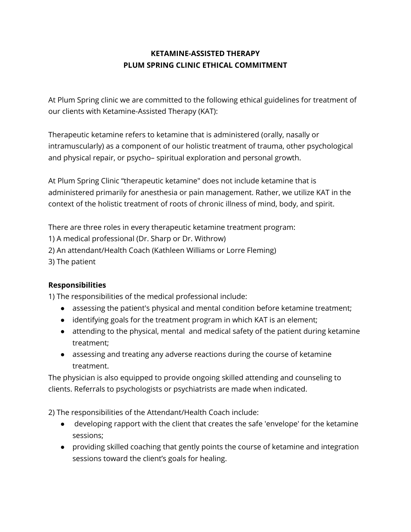## **KETAMINE-ASSISTED THERAPY PLUM SPRING CLINIC ETHICAL COMMITMENT**

At Plum Spring clinic we are committed to the following ethical guidelines for treatment of our clients with Ketamine-Assisted Therapy (KAT):

Therapeutic ketamine refers to ketamine that is administered (orally, nasally or intramuscularly) as a component of our holistic treatment of trauma, other psychological and physical repair, or psycho– spiritual exploration and personal growth.

At Plum Spring Clinic "therapeutic ketamine" does not include ketamine that is administered primarily for anesthesia or pain management. Rather, we utilize KAT in the context of the holistic treatment of roots of chronic illness of mind, body, and spirit.

There are three roles in every therapeutic ketamine treatment program:

1) A medical professional (Dr. Sharp or Dr. Withrow)

2) An attendant/Health Coach (Kathleen Williams or Lorre Fleming)

3) The patient

## **Responsibilities**

1) The responsibilities of the medical professional include:

- assessing the patient's physical and mental condition before ketamine treatment;
- identifying goals for the treatment program in which KAT is an element;
- attending to the physical, mental and medical safety of the patient during ketamine treatment;
- assessing and treating any adverse reactions during the course of ketamine treatment.

The physician is also equipped to provide ongoing skilled attending and counseling to clients. Referrals to psychologists or psychiatrists are made when indicated.

2) The responsibilities of the Attendant/Health Coach include:

- developing rapport with the client that creates the safe 'envelope' for the ketamine sessions;
- providing skilled coaching that gently points the course of ketamine and integration sessions toward the client's goals for healing.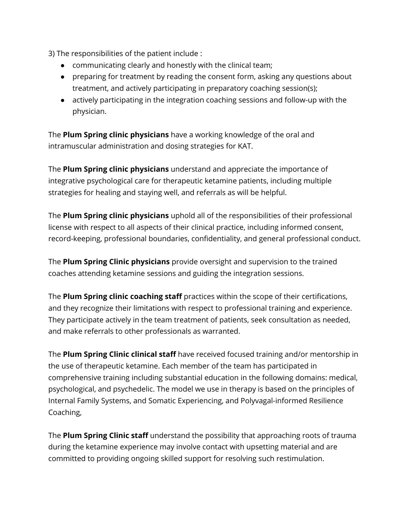3) The responsibilities of the patient include :

- communicating clearly and honestly with the clinical team;
- preparing for treatment by reading the consent form, asking any questions about treatment, and actively participating in preparatory coaching session(s);
- actively participating in the integration coaching sessions and follow-up with the physician.

The **Plum Spring clinic physicians** have a working knowledge of the oral and intramuscular administration and dosing strategies for KAT.

The **Plum Spring clinic physicians** understand and appreciate the importance of integrative psychological care for therapeutic ketamine patients, including multiple strategies for healing and staying well, and referrals as will be helpful.

The **Plum Spring clinic physicians** uphold all of the responsibilities of their professional license with respect to all aspects of their clinical practice, including informed consent, record-keeping, professional boundaries, confidentiality, and general professional conduct.

The **Plum Spring Clinic physicians** provide oversight and supervision to the trained coaches attending ketamine sessions and guiding the integration sessions.

The **Plum Spring clinic coaching staff** practices within the scope of their certifications, and they recognize their limitations with respect to professional training and experience. They participate actively in the team treatment of patients, seek consultation as needed, and make referrals to other professionals as warranted.

The **Plum Spring Clinic clinical staff** have received focused training and/or mentorship in the use of therapeutic ketamine. Each member of the team has participated in comprehensive training including substantial education in the following domains: medical, psychological, and psychedelic. The model we use in therapy is based on the principles of Internal Family Systems, and Somatic Experiencing, and Polyvagal-informed Resilience Coaching,

The **Plum Spring Clinic staff** understand the possibility that approaching roots of trauma during the ketamine experience may involve contact with upsetting material and are committed to providing ongoing skilled support for resolving such restimulation.